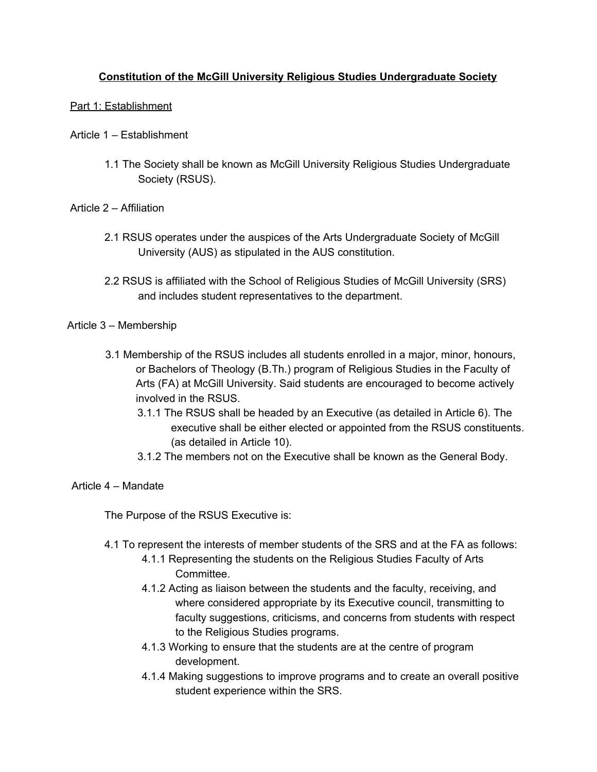# **Constitution of the McGill University Religious Studies Undergraduate Society**

## Part 1: Establishment

- Article 1 Establishment
	- 1.1 The Society shall be known as McGill University Religious Studies Undergraduate Society (RSUS).

### Article 2 – Affiliation

- 2.1 RSUS operates under the auspices of the Arts Undergraduate Society of McGill University (AUS) as stipulated in the AUS constitution.
- 2.2 RSUS is affiliated with the School of Religious Studies of McGill University (SRS) and includes student representatives to the department.

### Article 3 – Membership

- 3.1 Membership of the RSUS includes all students enrolled in a major, minor, honours, or Bachelors of Theology (B.Th.) program of Religious Studies in the Faculty of Arts (FA) at McGill University. Said students are encouraged to become actively involved in the RSUS.
	- 3.1.1 The RSUS shall be headed by an Executive (as detailed in Article 6). The executive shall be either elected or appointed from the RSUS constituents. (as detailed in Article 10).
	- 3.1.2 The members not on the Executive shall be known as the General Body.

## Article 4 – Mandate

The Purpose of the RSUS Executive is:

- 4.1 To represent the interests of member students of the SRS and at the FA as follows:
	- 4.1.1 Representing the students on the Religious Studies Faculty of Arts Committee.
	- 4.1.2 Acting as liaison between the students and the faculty, receiving, and where considered appropriate by its Executive council, transmitting to faculty suggestions, criticisms, and concerns from students with respect to the Religious Studies programs.
	- 4.1.3 Working to ensure that the students are at the centre of program development.
	- 4.1.4 Making suggestions to improve programs and to create an overall positive student experience within the SRS.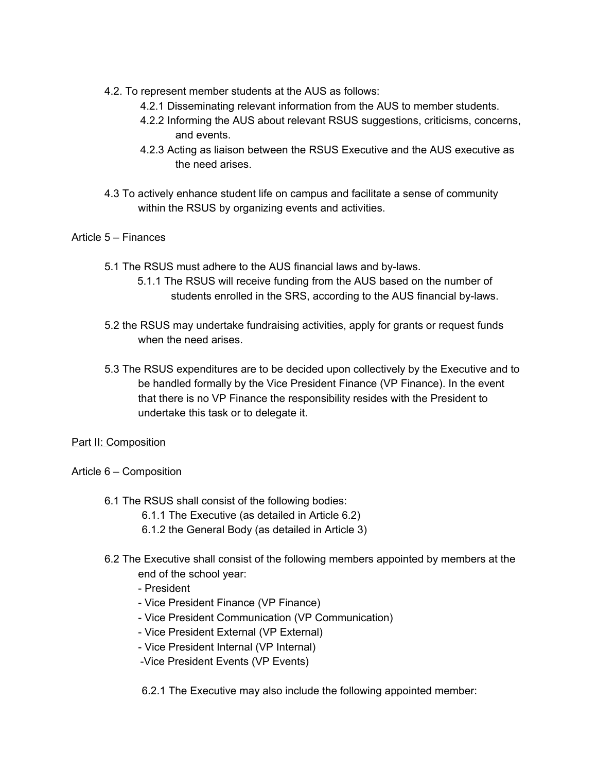- 4.2. To represent member students at the AUS as follows:
	- 4.2.1 Disseminating relevant information from the AUS to member students.
	- 4.2.2 Informing the AUS about relevant RSUS suggestions, criticisms, concerns, and events.
	- 4.2.3 Acting as liaison between the RSUS Executive and the AUS executive as the need arises.
- 4.3 To actively enhance student life on campus and facilitate a sense of community within the RSUS by organizing events and activities.

### Article 5 – Finances

- 5.1 The RSUS must adhere to the AUS financial laws and by-laws.
	- 5.1.1 The RSUS will receive funding from the AUS based on the number of students enrolled in the SRS, according to the AUS financial by-laws.
- 5.2 the RSUS may undertake fundraising activities, apply for grants or request funds when the need arises.
- 5.3 The RSUS expenditures are to be decided upon collectively by the Executive and to be handled formally by the Vice President Finance (VP Finance). In the event that there is no VP Finance the responsibility resides with the President to undertake this task or to delegate it.

### Part II: Composition

- Article 6 Composition
	- 6.1 The RSUS shall consist of the following bodies:
		- 6.1.1 The Executive (as detailed in Article 6.2)
		- 6.1.2 the General Body (as detailed in Article 3)
	- 6.2 The Executive shall consist of the following members appointed by members at the end of the school year:
		- President
		- Vice President Finance (VP Finance)
		- Vice President Communication (VP Communication)
		- Vice President External (VP External)
		- Vice President Internal (VP Internal)
		- -Vice President Events (VP Events)

6.2.1 The Executive may also include the following appointed member: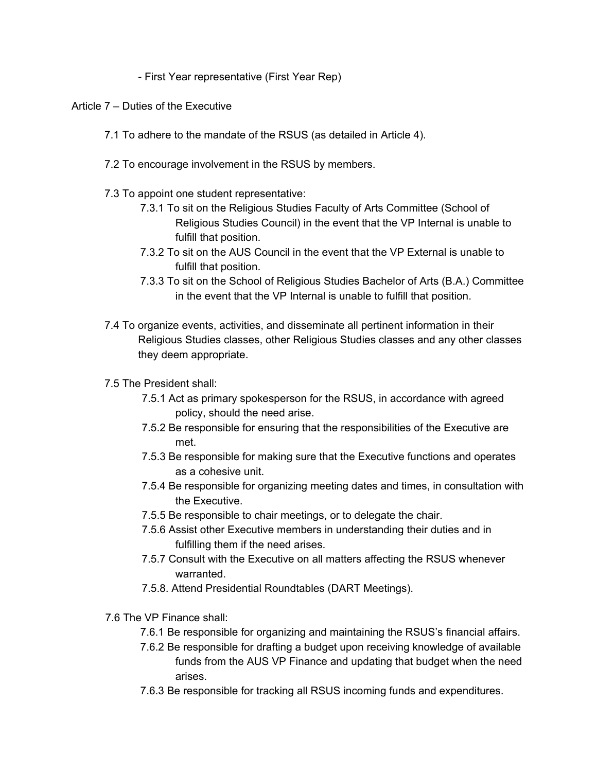- First Year representative (First Year Rep)

Article 7 – Duties of the Executive

- 7.1 To adhere to the mandate of the RSUS (as detailed in Article 4).
- 7.2 To encourage involvement in the RSUS by members.
- 7.3 To appoint one student representative:
	- 7.3.1 To sit on the Religious Studies Faculty of Arts Committee (School of Religious Studies Council) in the event that the VP Internal is unable to fulfill that position.
	- 7.3.2 To sit on the AUS Council in the event that the VP External is unable to fulfill that position.
	- 7.3.3 To sit on the School of Religious Studies Bachelor of Arts (B.A.) Committee in the event that the VP Internal is unable to fulfill that position.
- 7.4 To organize events, activities, and disseminate all pertinent information in their Religious Studies classes, other Religious Studies classes and any other classes they deem appropriate.
- 7.5 The President shall:
	- 7.5.1 Act as primary spokesperson for the RSUS, in accordance with agreed policy, should the need arise.
	- 7.5.2 Be responsible for ensuring that the responsibilities of the Executive are met.
	- 7.5.3 Be responsible for making sure that the Executive functions and operates as a cohesive unit.
	- 7.5.4 Be responsible for organizing meeting dates and times, in consultation with the Executive.
	- 7.5.5 Be responsible to chair meetings, or to delegate the chair.
	- 7.5.6 Assist other Executive members in understanding their duties and in fulfilling them if the need arises.
	- 7.5.7 Consult with the Executive on all matters affecting the RSUS whenever warranted.
	- 7.5.8. Attend Presidential Roundtables (DART Meetings).
- 7.6 The VP Finance shall:
	- 7.6.1 Be responsible for organizing and maintaining the RSUS's financial affairs.
	- 7.6.2 Be responsible for drafting a budget upon receiving knowledge of available funds from the AUS VP Finance and updating that budget when the need arises.
	- 7.6.3 Be responsible for tracking all RSUS incoming funds and expenditures.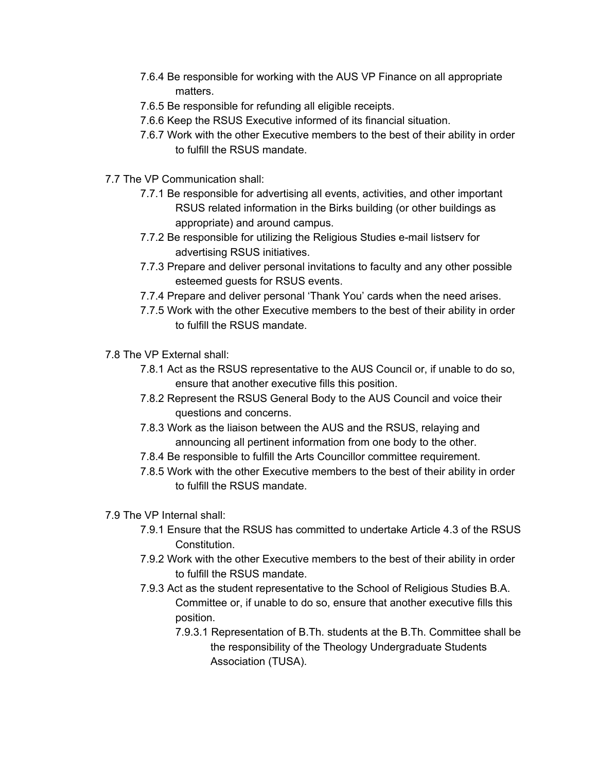- 7.6.4 Be responsible for working with the AUS VP Finance on all appropriate matters.
- 7.6.5 Be responsible for refunding all eligible receipts.
- 7.6.6 Keep the RSUS Executive informed of its financial situation.
- 7.6.7 Work with the other Executive members to the best of their ability in order to fulfill the RSUS mandate.
- 7.7 The VP Communication shall:
	- 7.7.1 Be responsible for advertising all events, activities, and other important RSUS related information in the Birks building (or other buildings as appropriate) and around campus.
	- 7.7.2 Be responsible for utilizing the Religious Studies e-mail listserv for advertising RSUS initiatives.
	- 7.7.3 Prepare and deliver personal invitations to faculty and any other possible esteemed guests for RSUS events.
	- 7.7.4 Prepare and deliver personal 'Thank You' cards when the need arises.
	- 7.7.5 Work with the other Executive members to the best of their ability in order to fulfill the RSUS mandate.
- 7.8 The VP External shall:
	- 7.8.1 Act as the RSUS representative to the AUS Council or, if unable to do so, ensure that another executive fills this position.
	- 7.8.2 Represent the RSUS General Body to the AUS Council and voice their questions and concerns.
	- 7.8.3 Work as the liaison between the AUS and the RSUS, relaying and announcing all pertinent information from one body to the other.
	- 7.8.4 Be responsible to fulfill the Arts Councillor committee requirement.
	- 7.8.5 Work with the other Executive members to the best of their ability in order to fulfill the RSUS mandate.
- 7.9 The VP Internal shall:
	- 7.9.1 Ensure that the RSUS has committed to undertake Article 4.3 of the RSUS Constitution.
	- 7.9.2 Work with the other Executive members to the best of their ability in order to fulfill the RSUS mandate.
	- 7.9.3 Act as the student representative to the School of Religious Studies B.A. Committee or, if unable to do so, ensure that another executive fills this position.
		- 7.9.3.1 Representation of B.Th. students at the B.Th. Committee shall be the responsibility of the Theology Undergraduate Students Association (TUSA).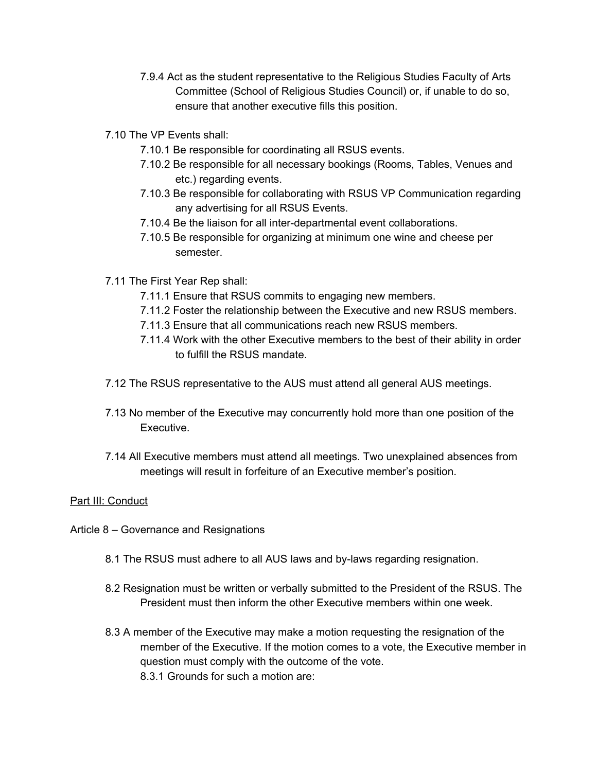- 7.9.4 Act as the student representative to the Religious Studies Faculty of Arts Committee (School of Religious Studies Council) or, if unable to do so, ensure that another executive fills this position.
- 7.10 The VP Events shall:
	- 7.10.1 Be responsible for coordinating all RSUS events.
	- 7.10.2 Be responsible for all necessary bookings (Rooms, Tables, Venues and etc.) regarding events.
	- 7.10.3 Be responsible for collaborating with RSUS VP Communication regarding any advertising for all RSUS Events.
	- 7.10.4 Be the liaison for all inter-departmental event collaborations.
	- 7.10.5 Be responsible for organizing at minimum one wine and cheese per semester.
- 7.11 The First Year Rep shall:
	- 7.11.1 Ensure that RSUS commits to engaging new members.
	- 7.11.2 Foster the relationship between the Executive and new RSUS members.
	- 7.11.3 Ensure that all communications reach new RSUS members.
	- 7.11.4 Work with the other Executive members to the best of their ability in order to fulfill the RSUS mandate.
- 7.12 The RSUS representative to the AUS must attend all general AUS meetings.
- 7.13 No member of the Executive may concurrently hold more than one position of the Executive.
- 7.14 All Executive members must attend all meetings. Two unexplained absences from meetings will result in forfeiture of an Executive member's position.

### Part III: Conduct

- Article 8 Governance and Resignations
	- 8.1 The RSUS must adhere to all AUS laws and by-laws regarding resignation.
	- 8.2 Resignation must be written or verbally submitted to the President of the RSUS. The President must then inform the other Executive members within one week.
	- 8.3 A member of the Executive may make a motion requesting the resignation of the member of the Executive. If the motion comes to a vote, the Executive member in question must comply with the outcome of the vote. 8.3.1 Grounds for such a motion are: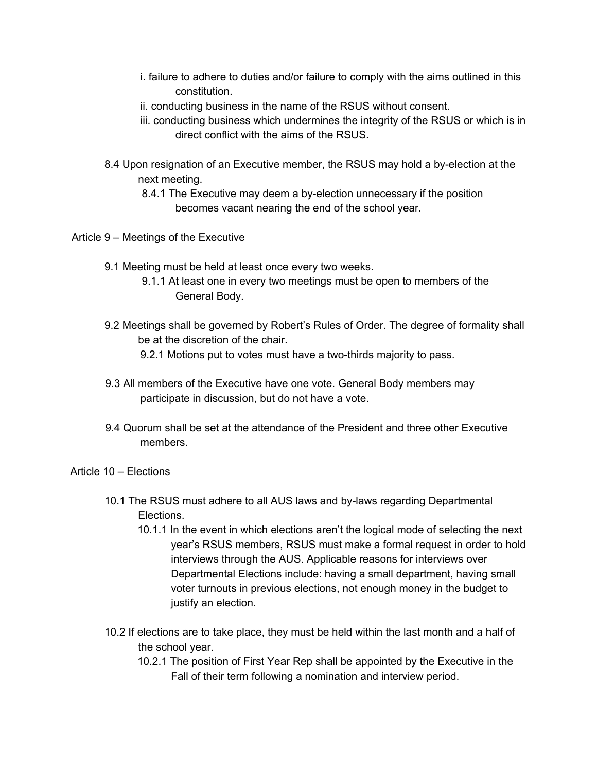- i. failure to adhere to duties and/or failure to comply with the aims outlined in this constitution.
- ii. conducting business in the name of the RSUS without consent.
- iii. conducting business which undermines the integrity of the RSUS or which is in direct conflict with the aims of the RSUS.
- 8.4 Upon resignation of an Executive member, the RSUS may hold a by-election at the next meeting.
	- 8.4.1 The Executive may deem a by-election unnecessary if the position becomes vacant nearing the end of the school year.
- Article 9 Meetings of the Executive
	- 9.1 Meeting must be held at least once every two weeks.
		- 9.1.1 At least one in every two meetings must be open to members of the General Body.
	- 9.2 Meetings shall be governed by Robert's Rules of Order. The degree of formality shall be at the discretion of the chair.
		- 9.2.1 Motions put to votes must have a two-thirds majority to pass.
	- 9.3 All members of the Executive have one vote. General Body members may participate in discussion, but do not have a vote.
	- 9.4 Quorum shall be set at the attendance of the President and three other Executive members.
- Article 10 Elections
	- 10.1 The RSUS must adhere to all AUS laws and by-laws regarding Departmental Elections.
		- 10.1.1 In the event in which elections aren't the logical mode of selecting the next year's RSUS members, RSUS must make a formal request in order to hold interviews through the AUS. Applicable reasons for interviews over Departmental Elections include: having a small department, having small voter turnouts in previous elections, not enough money in the budget to justify an election.
	- 10.2 If elections are to take place, they must be held within the last month and a half of the school year.
		- 10.2.1 The position of First Year Rep shall be appointed by the Executive in the Fall of their term following a nomination and interview period.